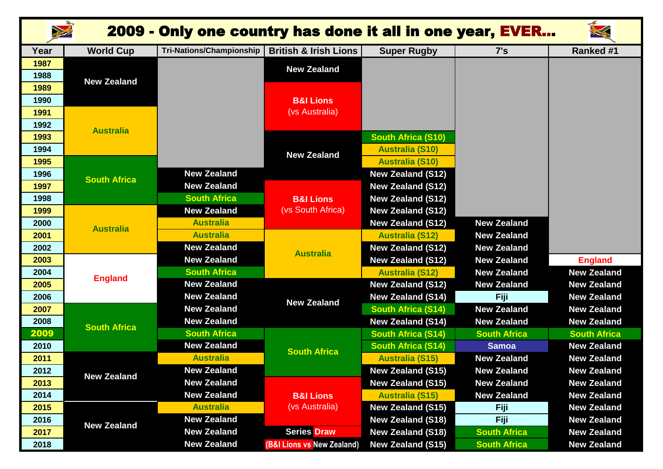| X<br>2009 - Only one country has done it all in one year, EVER |                     |                                 |                                  |                           |                     |                     |  |  |  |
|----------------------------------------------------------------|---------------------|---------------------------------|----------------------------------|---------------------------|---------------------|---------------------|--|--|--|
| Year                                                           | <b>World Cup</b>    | <b>Tri-Nations/Championship</b> | <b>British &amp; Irish Lions</b> | <b>Super Rugby</b>        | 7's                 | <b>Ranked #1</b>    |  |  |  |
| 1987                                                           |                     |                                 | <b>New Zealand</b>               |                           |                     |                     |  |  |  |
| 1988                                                           | <b>New Zealand</b>  |                                 |                                  |                           |                     |                     |  |  |  |
| 1989                                                           |                     |                                 |                                  |                           |                     |                     |  |  |  |
| 1990                                                           |                     |                                 | <b>B&amp;I Lions</b>             |                           |                     |                     |  |  |  |
| 1991                                                           |                     |                                 | (vs Australia)                   |                           |                     |                     |  |  |  |
| 1992                                                           | <b>Australia</b>    |                                 |                                  |                           |                     |                     |  |  |  |
| 1993                                                           |                     |                                 |                                  | <b>South Africa (S10)</b> |                     |                     |  |  |  |
| 1994                                                           |                     |                                 | <b>New Zealand</b>               | <b>Australia (S10)</b>    |                     |                     |  |  |  |
| 1995                                                           |                     |                                 |                                  | <b>Australia (S10)</b>    |                     |                     |  |  |  |
| 1996                                                           | <b>South Africa</b> | <b>New Zealand</b>              |                                  | <b>New Zealand (S12)</b>  |                     |                     |  |  |  |
| 1997                                                           |                     | <b>New Zealand</b>              |                                  | <b>New Zealand (S12)</b>  |                     |                     |  |  |  |
| 1998                                                           |                     | <b>South Africa</b>             | <b>B&amp;I Lions</b>             | <b>New Zealand (S12)</b>  |                     |                     |  |  |  |
| 1999                                                           |                     | <b>New Zealand</b>              | (vs South Africa)                | <b>New Zealand (S12)</b>  |                     |                     |  |  |  |
| 2000                                                           | <b>Australia</b>    | <b>Australia</b>                |                                  | <b>New Zealand (S12)</b>  | <b>New Zealand</b>  |                     |  |  |  |
| 2001                                                           |                     | <b>Australia</b>                |                                  | <b>Australia (S12)</b>    | <b>New Zealand</b>  |                     |  |  |  |
| 2002                                                           |                     | <b>New Zealand</b>              | <b>Australia</b>                 | <b>New Zealand (S12)</b>  | <b>New Zealand</b>  |                     |  |  |  |
| 2003                                                           |                     | <b>New Zealand</b>              |                                  | <b>New Zealand (S12)</b>  | <b>New Zealand</b>  | <b>England</b>      |  |  |  |
| 2004                                                           | <b>England</b>      | <b>South Africa</b>             |                                  | <b>Australia (S12)</b>    | <b>New Zealand</b>  | <b>New Zealand</b>  |  |  |  |
| 2005                                                           |                     | <b>New Zealand</b>              |                                  | <b>New Zealand (S12)</b>  | <b>New Zealand</b>  | <b>New Zealand</b>  |  |  |  |
| 2006                                                           |                     | <b>New Zealand</b>              | <b>New Zealand</b>               | <b>New Zealand (S14)</b>  | Fiji                | <b>New Zealand</b>  |  |  |  |
| 2007                                                           |                     | <b>New Zealand</b>              |                                  | <b>South Africa (S14)</b> | <b>New Zealand</b>  | <b>New Zealand</b>  |  |  |  |
| 2008                                                           | <b>South Africa</b> | <b>New Zealand</b>              |                                  | <b>New Zealand (S14)</b>  | <b>New Zealand</b>  | <b>New Zealand</b>  |  |  |  |
| 2009                                                           |                     | <b>South Africa</b>             |                                  | <b>South Africa (S14)</b> | <b>South Africa</b> | <b>South Africa</b> |  |  |  |
| 2010                                                           |                     | <b>New Zealand</b>              | <b>South Africa</b>              | <b>South Africa (S14)</b> | <b>Samoa</b>        | <b>New Zealand</b>  |  |  |  |
| 2011                                                           |                     | <b>Australia</b>                |                                  | <b>Australia (S15)</b>    | <b>New Zealand</b>  | <b>New Zealand</b>  |  |  |  |
| 2012                                                           | <b>New Zealand</b>  | <b>New Zealand</b>              |                                  | <b>New Zealand (S15)</b>  | <b>New Zealand</b>  | <b>New Zealand</b>  |  |  |  |
| 2013                                                           |                     | <b>New Zealand</b>              |                                  | <b>New Zealand (S15)</b>  | <b>New Zealand</b>  | <b>New Zealand</b>  |  |  |  |
| 2014                                                           |                     | <b>New Zealand</b>              | <b>B&amp;I Lions</b>             | <b>Australia (S15)</b>    | <b>New Zealand</b>  | <b>New Zealand</b>  |  |  |  |
| 2015                                                           | <b>New Zealand</b>  | <b>Australia</b>                | (vs Australia)                   | <b>New Zealand (S15)</b>  | <b>Fiji</b>         | <b>New Zealand</b>  |  |  |  |
| 2016                                                           |                     | <b>New Zealand</b>              |                                  | <b>New Zealand (S18)</b>  | <b>Fiji</b>         | <b>New Zealand</b>  |  |  |  |
| 2017                                                           |                     | <b>New Zealand</b>              | <b>Series Draw</b>               | <b>New Zealand (S18)</b>  | <b>South Africa</b> | <b>New Zealand</b>  |  |  |  |
| 2018                                                           |                     | <b>New Zealand</b>              | (B&I Lions vs New Zealand)       | <b>New Zealand (S15)</b>  | <b>South Africa</b> | <b>New Zealand</b>  |  |  |  |